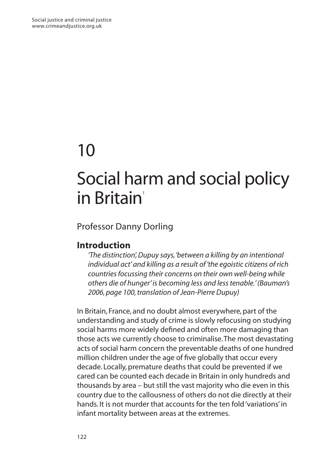## 10

# Social harm and social policy in Britain<sup>'</sup>

#### Professor Danny Dorling

## **Introduction**

*'The distinction', Dupuy says, 'between a killing by an intentional individual act' and killing as a result of 'the egoistic citizens of rich countries focussing their concerns on their own well-being while others die of hunger' is becoming less and less tenable.' (Bauman's 2006, page 100, translation of Jean-Pierre Dupuy)*

In Britain, France, and no doubt almost everywhere, part of the understanding and study of crime is slowly refocusing on studying social harms more widely defined and often more damaging than those acts we currently choose to criminalise. The most devastating acts of social harm concern the preventable deaths of one hundred million children under the age of five globally that occur every decade. Locally, premature deaths that could be prevented if we cared can be counted each decade in Britain in only hundreds and thousands by area – but still the vast majority who die even in this country due to the callousness of others do not die directly at their hands. It is not murder that accounts for the ten fold 'variations' in infant mortality between areas at the extremes.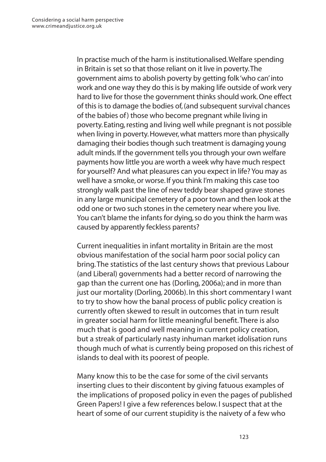In practise much of the harm is institutionalised. Welfare spending in Britain is set so that those reliant on it live in poverty. The government aims to abolish poverty by getting folk 'who can' into work and one way they do this is by making life outside of work very hard to live for those the government thinks should work. One effect of this is to damage the bodies of, (and subsequent survival chances of the babies of) those who become pregnant while living in poverty. Eating, resting and living well while pregnant is not possible when living in poverty. However, what matters more than physically damaging their bodies though such treatment is damaging young adult minds. If the government tells you through your own welfare payments how little you are worth a week why have much respect for yourself? And what pleasures can you expect in life? You may as well have a smoke, or worse. If you think I'm making this case too strongly walk past the line of new teddy bear shaped grave stones in any large municipal cemetery of a poor town and then look at the odd one or two such stones in the cemetery near where you live. You can't blame the infants for dying, so do you think the harm was caused by apparently feckless parents?

Current inequalities in infant mortality in Britain are the most obvious manifestation of the social harm poor social policy can bring. The statistics of the last century shows that previous Labour (and Liberal) governments had a better record of narrowing the gap than the current one has (Dorling, 2006a); and in more than just our mortality (Dorling, 2006b). In this short commentary I want to try to show how the banal process of public policy creation is currently often skewed to result in outcomes that in turn result in greater social harm for little meaningful benefit. There is also much that is good and well meaning in current policy creation, but a streak of particularly nasty inhuman market idolisation runs though much of what is currently being proposed on this richest of islands to deal with its poorest of people.

Many know this to be the case for some of the civil servants inserting clues to their discontent by giving fatuous examples of the implications of proposed policy in even the pages of published Green Papers! I give a few references below. I suspect that at the heart of some of our current stupidity is the naivety of a few who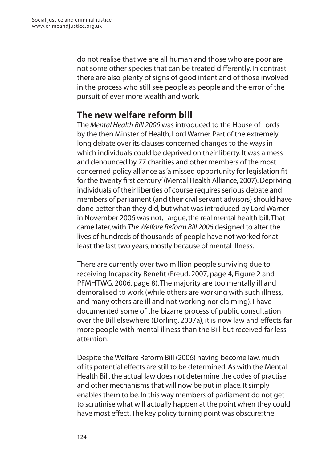do not realise that we are all human and those who are poor are not some other species that can be treated differently. In contrast there are also plenty of signs of good intent and of those involved in the process who still see people as people and the error of the pursuit of ever more wealth and work.

#### **The new welfare reform bill**

The *Mental Health Bill 2006* was introduced to the House of Lords by the then Minster of Health, Lord Warner. Part of the extremely long debate over its clauses concerned changes to the ways in which individuals could be deprived on their liberty. It was a mess and denounced by 77 charities and other members of the most concerned policy alliance as 'a missed opportunity for legislation fit for the twenty first century' (Mental Health Alliance, 2007). Depriving individuals of their liberties of course requires serious debate and members of parliament (and their civil servant advisors) should have done better than they did, but what was introduced by Lord Warner in November 2006 was not, I argue, the real mental health bill. That came later, with *The Welfare Reform Bill 2006* designed to alter the lives of hundreds of thousands of people have not worked for at least the last two years, mostly because of mental illness.

There are currently over two million people surviving due to receiving Incapacity Benefit (Freud, 2007, page 4, Figure 2 and PFMHTWG, 2006, page 8). The majority are too mentally ill and demoralised to work (while others are working with such illness, and many others are ill and not working nor claiming). I have documented some of the bizarre process of public consultation over the Bill elsewhere (Dorling, 2007a), it is now law and effects far more people with mental illness than the Bill but received far less attention.

Despite the Welfare Reform Bill (2006) having become law, much of its potential effects are still to be determined. As with the Mental Health Bill, the actual law does not determine the codes of practise and other mechanisms that will now be put in place. It simply enables them to be. In this way members of parliament do not get to scrutinise what will actually happen at the point when they could have most effect. The key policy turning point was obscure: the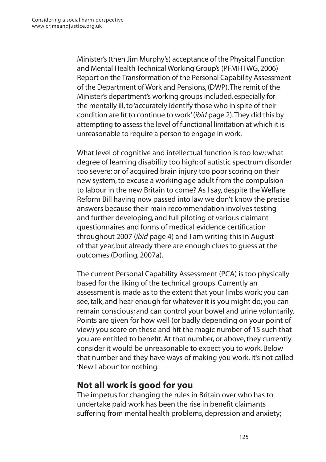Minister's (then Jim Murphy's) acceptance of the Physical Function and Mental Health Technical Working Group's (PFMHTWG, 2006) Report on the Transformation of the Personal Capability Assessment of the Department of Work and Pensions, (DWP). The remit of the Minister's department's working groups included, especially for the mentally ill, to 'accurately identify those who in spite of their condition are fit to continue to work' (*ibid* page 2). They did this by attempting to assess the level of functional limitation at which it is unreasonable to require a person to engage in work.

What level of cognitive and intellectual function is too low; what degree of learning disability too high; of autistic spectrum disorder too severe; or of acquired brain injury too poor scoring on their new system, to excuse a working age adult from the compulsion to labour in the new Britain to come? As I say, despite the Welfare Reform Bill having now passed into law we don't know the precise answers because their main recommendation involves testing and further developing, and full piloting of various claimant questionnaires and forms of medical evidence certification throughout 2007 (*ibid* page 4) and I am writing this in August of that year, but already there are enough clues to guess at the outcomes.(Dorling, 2007a).

The current Personal Capability Assessment (PCA) is too physically based for the liking of the technical groups. Currently an assessment is made as to the extent that your limbs work; you can see, talk, and hear enough for whatever it is you might do; you can remain conscious; and can control your bowel and urine voluntarily. Points are given for how well (or badly depending on your point of view) you score on these and hit the magic number of 15 such that you are entitled to benefit. At that number, or above, they currently consider it would be unreasonable to expect you to work. Below that number and they have ways of making you work. It's not called 'New Labour' for nothing.

## **Not all work is good for you**

The impetus for changing the rules in Britain over who has to undertake paid work has been the rise in benefit claimants suffering from mental health problems, depression and anxiety;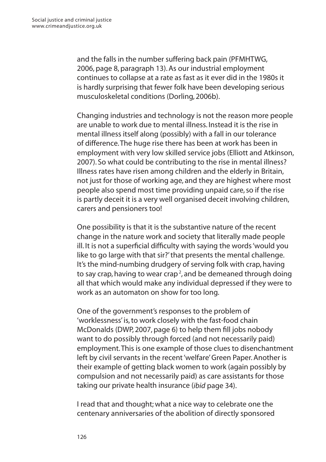and the falls in the number suffering back pain (PFMHTWG, 2006, page 8, paragraph 13). As our industrial employment continues to collapse at a rate as fast as it ever did in the 1980s it is hardly surprising that fewer folk have been developing serious musculoskeletal conditions (Dorling, 2006b).

Changing industries and technology is not the reason more people are unable to work due to mental illness. Instead it is the rise in mental illness itself along (possibly) with a fall in our tolerance of difference. The huge rise there has been at work has been in employment with very low skilled service jobs (Elliott and Atkinson, 2007). So what could be contributing to the rise in mental illness? Illness rates have risen among children and the elderly in Britain, not just for those of working age, and they are highest where most people also spend most time providing unpaid care, so if the rise is partly deceit it is a very well organised deceit involving children, carers and pensioners too!

One possibility is that it is the substantive nature of the recent change in the nature work and society that literally made people ill. It is not a superficial difficulty with saying the words 'would you like to go large with that sir?' that presents the mental challenge. It's the mind-numbing drudgery of serving folk with crap, having to say crap, having to wear crap<sup>2</sup>, and be demeaned through doing all that which would make any individual depressed if they were to work as an automaton on show for too long.

One of the government's responses to the problem of 'worklessness' is, to work closely with the fast-food chain McDonalds (DWP, 2007, page 6) to help them fill jobs nobody want to do possibly through forced (and not necessarily paid) employment. This is one example of those clues to disenchantment left by civil servants in the recent 'welfare' Green Paper. Another is their example of getting black women to work (again possibly by compulsion and not necessarily paid) as care assistants for those taking our private health insurance (*ibid* page 34).

I read that and thought; what a nice way to celebrate one the centenary anniversaries of the abolition of directly sponsored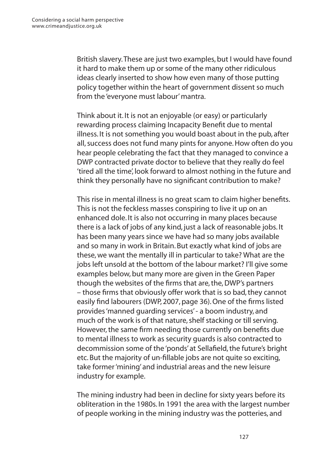British slavery. These are just two examples, but I would have found it hard to make them up or some of the many other ridiculous ideas clearly inserted to show how even many of those putting policy together within the heart of government dissent so much from the 'everyone must labour' mantra.

Think about it. It is not an enjoyable (or easy) or particularly rewarding process claiming Incapacity Benefit due to mental illness. It is not something you would boast about in the pub, after all, success does not fund many pints for anyone. How often do you hear people celebrating the fact that they managed to convince a DWP contracted private doctor to believe that they really do feel 'tired all the time', look forward to almost nothing in the future and think they personally have no significant contribution to make?

This rise in mental illness is no great scam to claim higher benefits. This is not the feckless masses conspiring to live it up on an enhanced dole. It is also not occurring in many places because there is a lack of jobs of any kind, just a lack of reasonable jobs. It has been many years since we have had so many jobs available and so many in work in Britain. But exactly what kind of jobs are these, we want the mentally ill in particular to take? What are the jobs left unsold at the bottom of the labour market? I'll give some examples below, but many more are given in the Green Paper though the websites of the firms that are, the, DWP's partners – those firms that obviously offer work that is so bad, they cannot easily find labourers (DWP, 2007, page 36). One of the firms listed provides 'manned guarding services' - a boom industry, and much of the work is of that nature, shelf stacking or till serving. However, the same firm needing those currently on benefits due to mental illness to work as security guards is also contracted to decommission some of the 'ponds' at Sellafield, the future's bright etc. But the majority of un-fillable jobs are not quite so exciting, take former 'mining' and industrial areas and the new leisure industry for example.

The mining industry had been in decline for sixty years before its obliteration in the 1980s. In 1991 the area with the largest number of people working in the mining industry was the potteries, and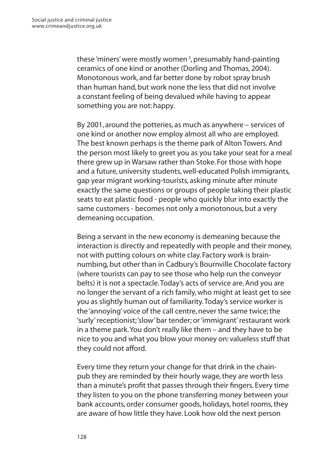these 'miners' were mostly women<sup>3</sup>, presumably hand-painting ceramics of one kind or another (Dorling and Thomas, 2004). Monotonous work, and far better done by robot spray brush than human hand, but work none the less that did not involve a constant feeling of being devalued while having to appear something you are not: happy.

By 2001, around the potteries, as much as anywhere – services of one kind or another now employ almost all who are employed. The best known perhaps is the theme park of Alton Towers. And the person most likely to greet you as you take your seat for a meal there grew up in Warsaw rather than Stoke. For those with hope and a future, university students, well-educated Polish immigrants, gap year migrant working-tourists, asking minute after minute exactly the same questions or groups of people taking their plastic seats to eat plastic food - people who quickly blur into exactly the same customers - becomes not only a monotonous, but a very demeaning occupation.

Being a servant in the new economy is demeaning because the interaction is directly and repeatedly with people and their money, not with putting colours on white clay. Factory work is brainnumbing, but other than in Cadbury's Bournville Chocolate factory (where tourists can pay to see those who help run the conveyor belts) it is not a spectacle. Today's acts of service are. And you are no longer the servant of a rich family, who might at least get to see you as slightly human out of familiarity. Today's service worker is the 'annoying' voice of the call centre, never the same twice; the 'surly' receptionist; 'slow' bar tender; or 'immigrant' restaurant work in a theme park. You don't really like them – and they have to be nice to you and what you blow your money on: valueless stuff that they could not afford.

Every time they return your change for that drink in the chainpub they are reminded by their hourly wage, they are worth less than a minute's profit that passes through their fingers. Every time they listen to you on the phone transferring money between your bank accounts, order consumer goods, holidays, hotel rooms, they are aware of how little they have. Look how old the next person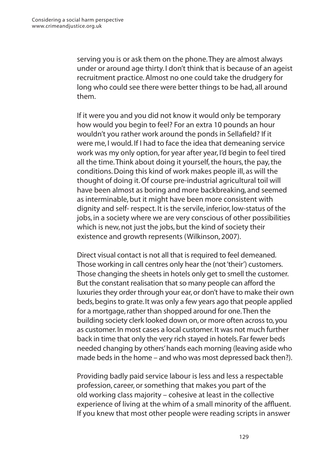serving you is or ask them on the phone. They are almost always under or around age thirty. I don't think that is because of an ageist recruitment practice. Almost no one could take the drudgery for long who could see there were better things to be had, all around them.

If it were you and you did not know it would only be temporary how would you begin to feel? For an extra 10 pounds an hour wouldn't you rather work around the ponds in Sellafield? If it were me, I would. If I had to face the idea that demeaning service work was my only option, for year after year, I'd begin to feel tired all the time. Think about doing it yourself, the hours, the pay, the conditions. Doing this kind of work makes people ill, as will the thought of doing it. Of course pre-industrial agricultural toil will have been almost as boring and more backbreaking, and seemed as interminable, but it might have been more consistent with dignity and self- respect. It is the servile, inferior, low-status of the jobs, in a society where we are very conscious of other possibilities which is new, not just the jobs, but the kind of society their existence and growth represents (Wilkinson, 2007).

Direct visual contact is not all that is required to feel demeaned. Those working in call centres only hear the (not 'their') customers. Those changing the sheets in hotels only get to smell the customer. But the constant realisation that so many people can afford the luxuries they order through your ear, or don't have to make their own beds, begins to grate. It was only a few years ago that people applied for a mortgage, rather than shopped around for one. Then the building society clerk looked down on, or more often across to, you as customer. In most cases a local customer. It was not much further back in time that only the very rich stayed in hotels. Far fewer beds needed changing by others' hands each morning (leaving aside who made beds in the home – and who was most depressed back then?).

Providing badly paid service labour is less and less a respectable profession, career, or something that makes you part of the old working class majority – cohesive at least in the collective experience of living at the whim of a small minority of the affluent. If you knew that most other people were reading scripts in answer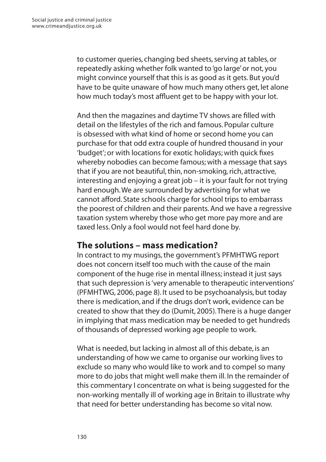to customer queries, changing bed sheets, serving at tables, or repeatedly asking whether folk wanted to 'go large' or not, you might convince yourself that this is as good as it gets. But you'd have to be quite unaware of how much many others get, let alone how much today's most affluent get to be happy with your lot.

And then the magazines and daytime TV shows are filled with detail on the lifestyles of the rich and famous. Popular culture is obsessed with what kind of home or second home you can purchase for that odd extra couple of hundred thousand in your 'budget'; or with locations for exotic holidays; with quick fixes whereby nobodies can become famous; with a message that says that if you are not beautiful, thin, non-smoking, rich, attractive, interesting and enjoying a great job – it is your fault for not trying hard enough. We are surrounded by advertising for what we cannot afford. State schools charge for school trips to embarrass the poorest of children and their parents. And we have a regressive taxation system whereby those who get more pay more and are taxed less. Only a fool would not feel hard done by.

## **The solutions – mass medication?**

In contract to my musings, the government's PFMHTWG report does not concern itself too much with the cause of the main component of the huge rise in mental illness; instead it just says that such depression is 'very amenable to therapeutic interventions' (PFMHTWG, 2006, page 8). It used to be psychoanalysis, but today there is medication, and if the drugs don't work, evidence can be created to show that they do (Dumit, 2005). There is a huge danger in implying that mass medication may be needed to get hundreds of thousands of depressed working age people to work.

What is needed, but lacking in almost all of this debate, is an understanding of how we came to organise our working lives to exclude so many who would like to work and to compel so many more to do jobs that might well make them ill. In the remainder of this commentary I concentrate on what is being suggested for the non-working mentally ill of working age in Britain to illustrate why that need for better understanding has become so vital now.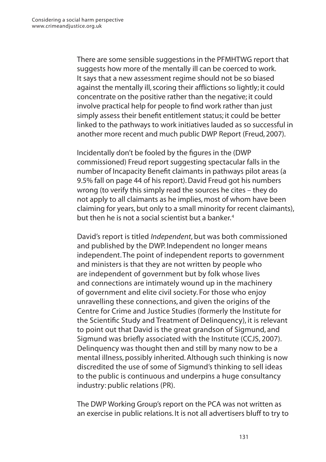There are some sensible suggestions in the PFMHTWG report that suggests how more of the mentally ill can be coerced to work. It says that a new assessment regime should not be so biased against the mentally ill, scoring their afflictions so lightly; it could concentrate on the positive rather than the negative; it could involve practical help for people to find work rather than just simply assess their benefit entitlement status; it could be better linked to the pathways to work initiatives lauded as so successful in another more recent and much public DWP Report (Freud, 2007).

Incidentally don't be fooled by the figures in the (DWP commissioned) Freud report suggesting spectacular falls in the number of Incapacity Benefit claimants in pathways pilot areas (a 9.5% fall on page 44 of his report). David Freud got his numbers wrong (to verify this simply read the sources he cites – they do not apply to all claimants as he implies, most of whom have been claiming for years, but only to a small minority for recent claimants), but then he is not a social scientist but a banker.<sup>4</sup>

David's report is titled *Independent*, but was both commissioned and published by the DWP. Independent no longer means independent. The point of independent reports to government and ministers is that they are not written by people who are independent of government but by folk whose lives and connections are intimately wound up in the machinery of government and elite civil society. For those who enjoy unravelling these connections, and given the origins of the Centre for Crime and Justice Studies (formerly the Institute for the Scientific Study and Treatment of Delinquency), it is relevant to point out that David is the great grandson of Sigmund, and Sigmund was briefly associated with the Institute (CCJS, 2007). Delinquency was thought then and still by many now to be a mental illness, possibly inherited. Although such thinking is now discredited the use of some of Sigmund's thinking to sell ideas to the public is continuous and underpins a huge consultancy industry: public relations (PR).

The DWP Working Group's report on the PCA was not written as an exercise in public relations. It is not all advertisers bluff to try to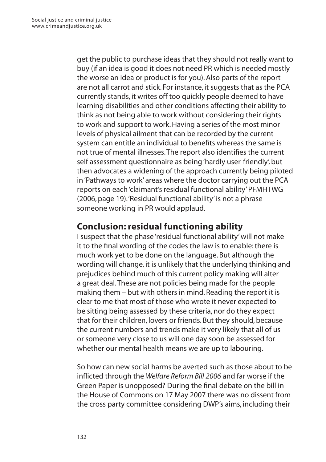get the public to purchase ideas that they should not really want to buy (if an idea is good it does not need PR which is needed mostly the worse an idea or product is for you). Also parts of the report are not all carrot and stick. For instance, it suggests that as the PCA currently stands, it writes off too quickly people deemed to have learning disabilities and other conditions affecting their ability to think as not being able to work without considering their rights to work and support to work. Having a series of the most minor levels of physical ailment that can be recorded by the current system can entitle an individual to benefits whereas the same is not true of mental illnesses. The report also identifies the current self assessment questionnaire as being 'hardly user-friendly', but then advocates a widening of the approach currently being piloted in 'Pathways to work' areas where the doctor carrying out the PCA reports on each 'claimant's residual functional ability' PFMHTWG (2006, page 19). 'Residual functional ability' is not a phrase someone working in PR would applaud.

#### **Conclusion: residual functioning ability**

I suspect that the phase 'residual functional ability' will not make it to the final wording of the codes the law is to enable: there is much work yet to be done on the language. But although the wording will change, it is unlikely that the underlying thinking and prejudices behind much of this current policy making will alter a great deal. These are not policies being made for the people making them – but with others in mind. Reading the report it is clear to me that most of those who wrote it never expected to be sitting being assessed by these criteria, nor do they expect that for their children, lovers or friends. But they should, because the current numbers and trends make it very likely that all of us or someone very close to us will one day soon be assessed for whether our mental health means we are up to labouring.

So how can new social harms be averted such as those about to be inflicted through the *Welfare Reform Bill 2006* and far worse if the Green Paper is unopposed? During the final debate on the bill in the House of Commons on 17 May 2007 there was no dissent from the cross party committee considering DWP's aims, including their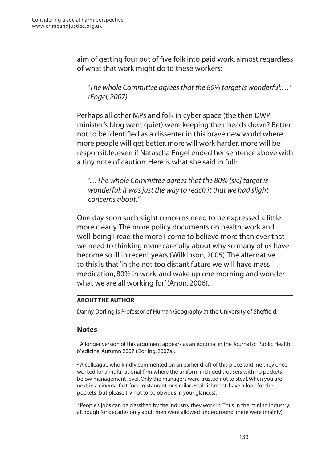aim of getting four out of five folk into paid work, almost regardless of what that work might do to these workers:

*'The whole Committee agrees that the 80% target is wonderful;…' (Engel, 2007)*

Perhaps all other MPs and folk in cyber space (the then DWP minister's blog went quiet) were keeping their heads down? Better not to be identified as a dissenter in this brave new world where more people will get better, more will work harder, more will be responsible, even if Natascha Engel ended her sentence above with a tiny note of caution. Here is what she said in full:

*'…The whole Committee agrees that the 80% [sic] target is wonderful; it was just the way to reach it that we had slight concerns about.*<sup>'5</sup>

One day soon such slight concerns need to be expressed a little more clearly. The more policy documents on health, work and well-being I read the more I come to believe more than ever that we need to thinking more carefully about why so many of us have become so ill in recent years (Wilkinson, 2005). The alternative to this is that 'in the not too distant future we will have mass medication, 80% in work, and wake up one morning and wonder what we are all working for' (Anon, 2006).

#### **ABOUT THE AUTHOR**

Danny Dorling is Professor of Human Geography at the University of Sheffield.

#### **Notes**

1 A longer version of this argument appears as an editorial in the Journal of Public Health Medicine, Autumn 2007 (Dorling, 2007a).

 $^2$  A colleague who kindly commented on an earlier draft of this piece told me they once worked for a multinational firm where the uniform included trousers with no pockets below management level. Only the managers were trusted not to steal. When you are next in a cinema, fast-food restaurant, or similar establishment, have a look for the pockets (but please try not to be obvious in your glances).

<sup>3</sup> People's jobs can be classified by the industry they work in. Thus in the mining industry, although for decades only adult men were allowed underground, there were (mainly)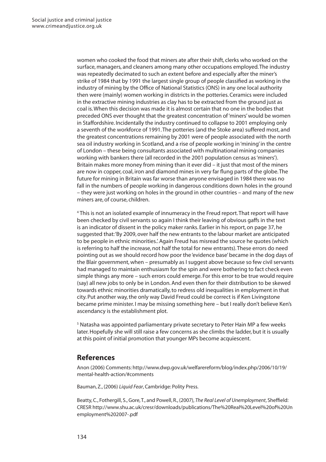women who cooked the food that miners ate after their shift, clerks who worked on the surface, managers, and cleaners among many other occupations employed. The industry was repeatedly decimated to such an extent before and especially after the miner's strike of 1984 that by 1991 the largest single group of people classified as working in the industry of mining by the Office of National Statistics (ONS) in any one local authority then were (mainly) women working in districts in the potteries. Ceramics were included in the extractive mining industries as clay has to be extracted from the ground just as coal is. When this decision was made it is almost certain that no one in the bodies that preceded ONS ever thought that the greatest concentration of 'miners' would be women in Staffordshire. Incidentally the industry continued to collapse to 2001 employing only a seventh of the workforce of 1991. The potteries (and the Stoke area) suffered most, and the greatest concentrations remaining by 2001 were of people associated with the north sea oil industry working in Scotland, and a rise of people working in 'mining' in the centre of London – these being consultants associated with multinational mining companies working with bankers there (all recorded in the 2001 population census as 'miners'). Britain makes more money from mining than it ever did – it just that most of the miners are now in copper, coal, iron and diamond mines in very far flung parts of the globe. The future for mining in Britain was far worse than anyone envisaged in 1984 there was no fall in the numbers of people working in dangerous conditions down holes in the ground – they were just working on holes in the ground in other countries – and many of the new miners are, of course, children.

4 This is not an isolated example of innumeracy in the Freud report. That report will have been checked by civil servants so again I think their leaving of obvious gaffs in the text is an indicator of dissent in the policy maker ranks. Earlier in his report, on page 37, he suggested that: 'By 2009, over half the new entrants to the labour market are anticipated to be people in ethnic minorities.'. Again Freud has misread the source he quotes (which is referring to half the increase, not half the total for new entrants). These errors do need pointing out as we should record how poor the 'evidence base' became in the dog days of the Blair government, when – presumably as I suggest above because so few civil servants had managed to maintain enthusiasm for the spin and were bothering to fact check even simple things any more – such errors could emerge. For this error to be true would require (say) all new jobs to only be in London. And even then for their distribution to be skewed towards ethnic minorities dramatically, to redress old inequalities in employment in that city. Put another way, the only way David Freud could be correct is if Ken Livingstone became prime minister. I may be missing something here – but I really don't believe Ken's ascendancy is the establishment plot.

 $^{\rm 5}$  Natasha was appointed parliamentary private secretary to Peter Hain MP a few weeks later. Hopefully she will still raise a few concerns as she climbs the ladder, but it is usually at this point of initial promotion that younger MPs become acquiescent.

#### **References**

Anon (2006) Comments: http://www.dwp.gov.uk/welfarereform/blog/index.php/2006/10/19/ mental-health-action/#comments

Bauman, Z., (2006) *Liquid Fear*, Cambridge: Polity Press.

Beatty, C., Fothergill, S., Gore, T., and Powell, R., (2007), *The Real Level of Unemployment*, Sheffield: CRESR http://www.shu.ac.uk/cresr/downloads/publications/The%20Real%20Level%20of%20Un employment%202007-.pdf